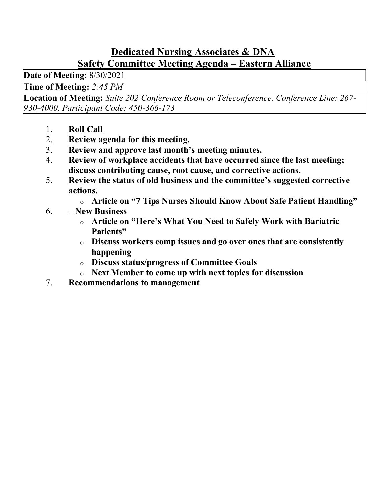#### Dedicated Nursing Associates & DNA Safety Committee Meeting Agenda – Eastern Alliance

Date of Meeting: 8/30/2021

Time of Meeting: 2:45 PM

Location of Meeting: Suite 202 Conference Room or Teleconference. Conference Line: 267- 930-4000, Participant Code: 450-366-173

- 1. Roll Call
- 2. Review agenda for this meeting.
- 3. Review and approve last month's meeting minutes.
- 4. Review of workplace accidents that have occurred since the last meeting; discuss contributing cause, root cause, and corrective actions.
- 5. Review the status of old business and the committee's suggested corrective actions.
	- o Article on "7 Tips Nurses Should Know About Safe Patient Handling"
- 6. New Business
	- o Article on "Here's What You Need to Safely Work with Bariatric Patients"
	- o Discuss workers comp issues and go over ones that are consistently happening
	- o Discuss status/progress of Committee Goals
	- o Next Member to come up with next topics for discussion
- 7. Recommendations to management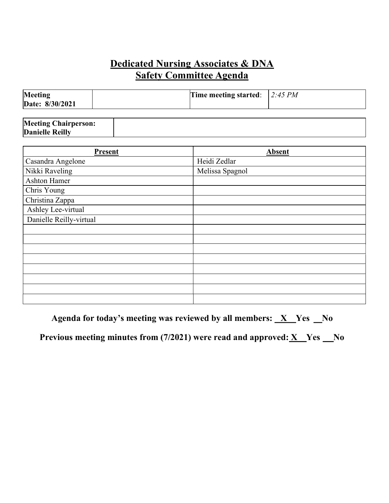### Dedicated Nursing Associates & DNA  Safety Committee Agenda

| Meeting<br>Date: 8/30/2021 | Time meeting started: $ 2:45 PM$ |  |
|----------------------------|----------------------------------|--|
|                            |                                  |  |

| <b>Meeting Chairperson:</b> |  |
|-----------------------------|--|
| <b>Danielle Reilly</b>      |  |

| Present                 | Absent          |
|-------------------------|-----------------|
| Casandra Angelone       | Heidi Zedlar    |
| Nikki Raveling          | Melissa Spagnol |
| Ashton Hamer            |                 |
| Chris Young             |                 |
| Christina Zappa         |                 |
| Ashley Lee-virtual      |                 |
| Danielle Reilly-virtual |                 |
|                         |                 |
|                         |                 |
|                         |                 |
|                         |                 |
|                         |                 |
|                         |                 |
|                         |                 |
|                         |                 |

Agenda for today's meeting was reviewed by all members:  $X$  Yes  $N_0$ 

Previous meeting minutes from (7/2021) were read and approved:  $X$  Yes No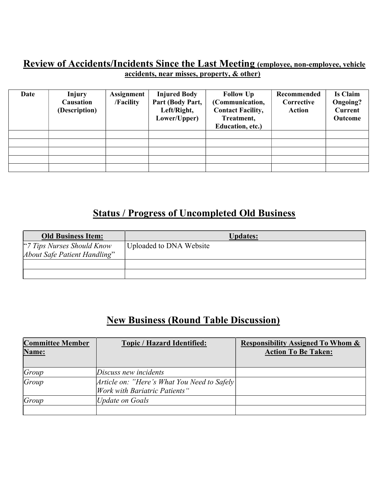#### Review of Accidents/Incidents Since the Last Meeting (employee, non-employee, vehicle accidents, near misses, property, & other)

| Date | <b>Injury</b><br>Causation<br>(Description) | <b>Assignment</b><br>/Facility | <b>Injured Body</b><br>Part (Body Part,<br>Left/Right,<br>Lower/Upper) | <b>Follow Up</b><br>(Communication,<br><b>Contact Facility,</b><br>Treatment,<br>Education, etc.) | Recommended<br>Corrective<br>Action | <b>Is Claim</b><br><b>Ongoing?</b><br><b>Current</b><br>Outcome |
|------|---------------------------------------------|--------------------------------|------------------------------------------------------------------------|---------------------------------------------------------------------------------------------------|-------------------------------------|-----------------------------------------------------------------|
|      |                                             |                                |                                                                        |                                                                                                   |                                     |                                                                 |
|      |                                             |                                |                                                                        |                                                                                                   |                                     |                                                                 |
|      |                                             |                                |                                                                        |                                                                                                   |                                     |                                                                 |
|      |                                             |                                |                                                                        |                                                                                                   |                                     |                                                                 |
|      |                                             |                                |                                                                        |                                                                                                   |                                     |                                                                 |

# Status / Progress of Uncompleted Old Business

| <b>Old Business Item:</b>    | <b>Updates:</b>         |
|------------------------------|-------------------------|
| "7 Tips Nurses Should Know"  | Uploaded to DNA Website |
| About Safe Patient Handling" |                         |
|                              |                         |
|                              |                         |

# New Business (Round Table Discussion)

| <b>Committee Member</b><br>Name: | <b>Topic / Hazard Identified:</b>                                                    | <b>Responsibility Assigned To Whom &amp;</b><br><b>Action To Be Taken:</b> |
|----------------------------------|--------------------------------------------------------------------------------------|----------------------------------------------------------------------------|
|                                  |                                                                                      |                                                                            |
| Group                            | Discuss new incidents                                                                |                                                                            |
| Group                            | Article on: "Here's What You Need to Safely<br><i>Work with Bariatric Patients</i> " |                                                                            |
| Group                            | Update on Goals                                                                      |                                                                            |
|                                  |                                                                                      |                                                                            |